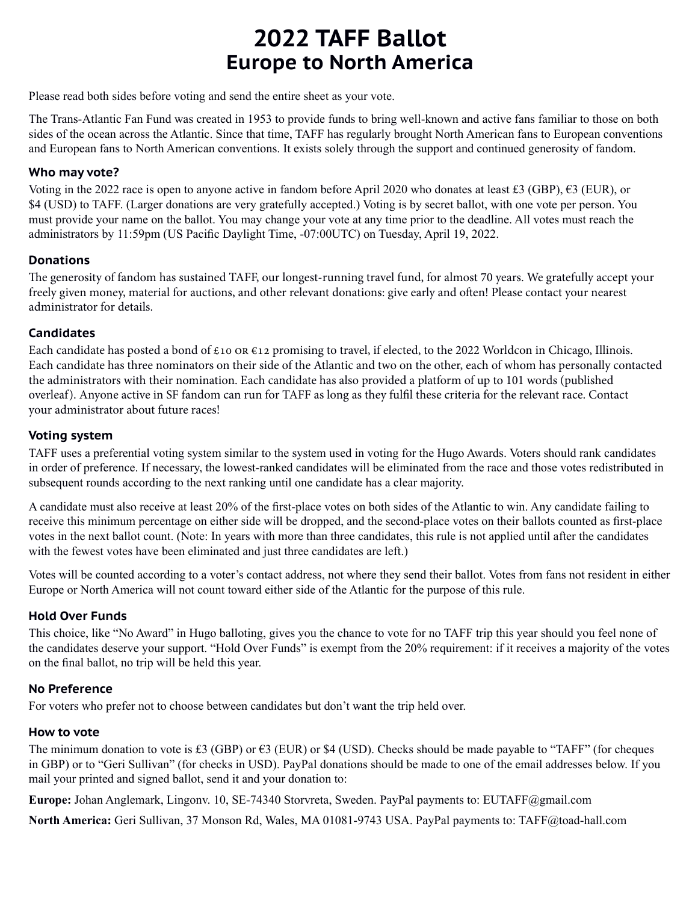## **2022 TAFF Ballot Europe to North America**

Please read both sides before voting and send the entire sheet as your vote.

The Trans-Atlantic Fan Fund was created in 1953 to provide funds to bring well-known and active fans familiar to those on both sides of the ocean across the Atlantic. Since that time, TAFF has regularly brought North American fans to European conventions and European fans to North American conventions. It exists solely through the support and continued generosity of fandom.

### **Who may vote?**

Voting in the 2022 race is open to anyone active in fandom before April 2020 who donates at least £3 (GBP),  $\epsilon$ 3 (EUR), or \$4 (USD) to TAFF. (Larger donations are very gratefully accepted.) Voting is by secret ballot, with one vote per person. You must provide your name on the ballot. You may change your vote at any time prior to the deadline. All votes must reach the administrators by 11:59pm (US Pacific Daylight Time, -07:00UTC) on Tuesday, April 19, 2022.

#### **Donations**

The generosity of fandom has sustained TAFF, our longest-running travel fund, for almost 70 years. We gratefully accept your freely given money, material for auctions, and other relevant donations: give early and often! Please contact your nearest administrator for details.

#### **Candidates**

Each candidate has posted a bond of  $\epsilon$ 10 OR  $\epsilon$ 12 promising to travel, if elected, to the 2022 Worldcon in Chicago, Illinois. Each candidate has three nominators on their side of the Atlantic and two on the other, each of whom has personally contacted the administrators with their nomination. Each candidate has also provided a platform of up to 101 words (published overleaf). Anyone active in SF fandom can run for TAFF as long as they fulfil these criteria for the relevant race. Contact your administrator about future races!

#### **Voting system**

TAFF uses a preferential voting system similar to the system used in voting for the Hugo Awards. Voters should rank candidates in order of preference. If necessary, the lowest-ranked candidates will be eliminated from the race and those votes redistributed in subsequent rounds according to the next ranking until one candidate has a clear majority.

A candidate must also receive at least 20% of the first-place votes on both sides of the Atlantic to win. Any candidate failing to receive this minimum percentage on either side will be dropped, and the second-place votes on their ballots counted as first-place votes in the next ballot count. (Note: In years with more than three candidates, this rule is not applied until after the candidates with the fewest votes have been eliminated and just three candidates are left.)

Votes will be counted according to a voter's contact address, not where they send their ballot. Votes from fans not resident in either Europe or North America will not count toward either side of the Atlantic for the purpose of this rule.

#### **Hold Over Funds**

This choice, like "No Award" in Hugo balloting, gives you the chance to vote for no TAFF trip this year should you feel none of the candidates deserve your support. "Hold Over Funds" is exempt from the 20% requirement: if it receives a majority of the votes on the final ballot, no trip will be held this year.

## **No Preference**

For voters who prefer not to choose between candidates but don't want the trip held over.

#### **How to vote**

The minimum donation to vote is £3 (GBP) or  $63$  (EUR) or \$4 (USD). Checks should be made payable to "TAFF" (for cheques in GBP) or to "Geri Sullivan" (for checks in USD). PayPal donations should be made to one of the email addresses below. If you mail your printed and signed ballot, send it and your donation to:

**Europe:** Johan Anglemark, Lingonv. 10, SE-74340 Storvreta, Sweden. PayPal payments to: EUTAFF@gmail.com

**North America:** Geri Sullivan, 37 Monson Rd, Wales, MA 01081-9743 USA. PayPal payments to: TAFF@toad-hall.com